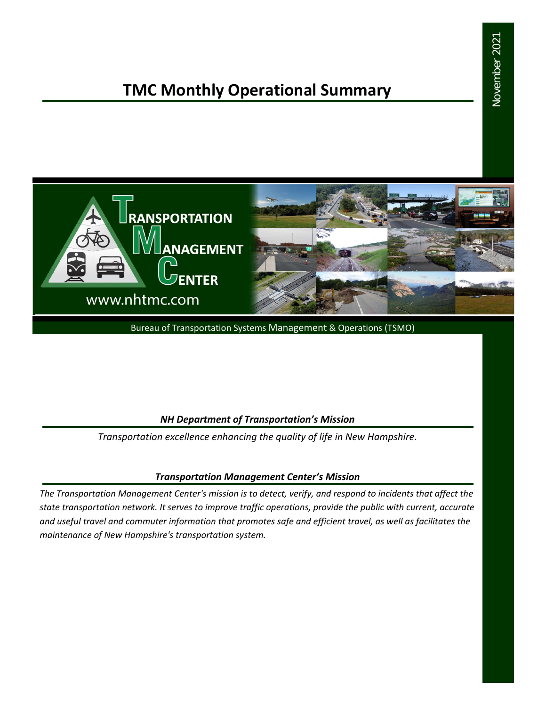# **TMC Monthly Operational Summary**



Bureau of Transportation Systems Management & Operations (TSMO)

#### *NH Department of Transportation's Mission*

*Transportation excellence enhancing the quality of life in New Hampshire.*

#### *Transportation Management Center's Mission*

*The Transportation Management Center's mission is to detect, verify, and respond to incidents that affect the state transportation network. It serves to improve traffic operations, provide the public with current, accurate and useful travel and commuter information that promotes safe and efficient travel, as well as facilitates the maintenance of New Hampshire's transportation system.*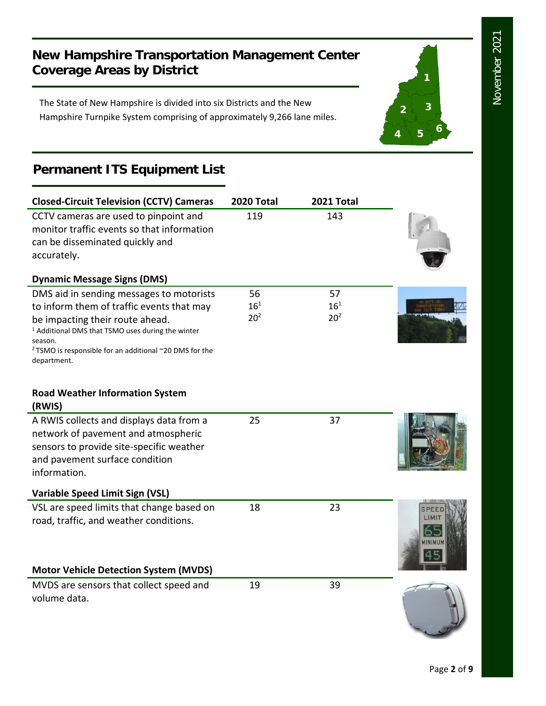**1**

**2 3**

**<sup>4</sup> <sup>5</sup> <sup>6</sup>**

## **New Hampshire Transportation Management Center Coverage Areas by District**

The State of New Hampshire is divided into six Districts and the New Hampshire Turnpike System comprising of approximately 9,266 lane miles.

# **Permanent ITS Equipment List**

| <b>Closed-Circuit Television (CCTV) Cameras</b>                                                                                                                                                                                                                                          | 2020 Total                        | 2021 Total                        |         |
|------------------------------------------------------------------------------------------------------------------------------------------------------------------------------------------------------------------------------------------------------------------------------------------|-----------------------------------|-----------------------------------|---------|
| CCTV cameras are used to pinpoint and<br>monitor traffic events so that information<br>can be disseminated quickly and<br>accurately.                                                                                                                                                    | 119                               | 143                               |         |
| <b>Dynamic Message Signs (DMS)</b>                                                                                                                                                                                                                                                       |                                   |                                   |         |
| DMS aid in sending messages to motorists<br>to inform them of traffic events that may<br>be impacting their route ahead.<br><sup>1</sup> Additional DMS that TSMO uses during the winter<br>season.<br><sup>2</sup> TSMO is responsible for an additional ~20 DMS for the<br>department. | 56<br>$16^{1}$<br>20 <sup>2</sup> | 57<br>$16^{1}$<br>20 <sup>2</sup> |         |
| <b>Road Weather Information System</b><br>(RWIS)                                                                                                                                                                                                                                         |                                   |                                   |         |
| A RWIS collects and displays data from a<br>network of pavement and atmospheric<br>sensors to provide site-specific weather<br>and pavement surface condition<br>information.                                                                                                            | 25                                | 37                                |         |
| <b>Variable Speed Limit Sign (VSL)</b>                                                                                                                                                                                                                                                   |                                   |                                   |         |
| VSL are speed limits that change based on<br>road, traffic, and weather conditions.<br><b>Motor Vehicle Detection System (MVDS)</b>                                                                                                                                                      | 18                                | 23                                | IINIMUN |
|                                                                                                                                                                                                                                                                                          |                                   |                                   |         |
| MVDS are sensors that collect speed and<br>volume data.                                                                                                                                                                                                                                  | 19                                | 39                                |         |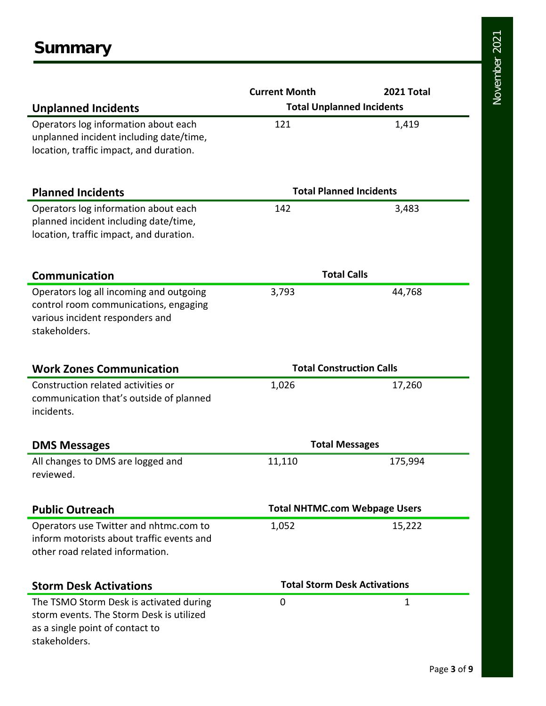|                                                                                                                                         | <b>Current Month</b>                 | 2021 Total |  |
|-----------------------------------------------------------------------------------------------------------------------------------------|--------------------------------------|------------|--|
| <b>Unplanned Incidents</b>                                                                                                              | <b>Total Unplanned Incidents</b>     |            |  |
| Operators log information about each<br>unplanned incident including date/time,<br>location, traffic impact, and duration.              | 121                                  | 1,419      |  |
| <b>Planned Incidents</b>                                                                                                                | <b>Total Planned Incidents</b>       |            |  |
| Operators log information about each<br>planned incident including date/time,<br>location, traffic impact, and duration.                | 142                                  | 3,483      |  |
| <b>Communication</b>                                                                                                                    | <b>Total Calls</b>                   |            |  |
| Operators log all incoming and outgoing<br>control room communications, engaging<br>various incident responders and<br>stakeholders.    | 3,793                                | 44,768     |  |
| <b>Work Zones Communication</b>                                                                                                         | <b>Total Construction Calls</b>      |            |  |
| Construction related activities or<br>communication that's outside of planned<br>incidents.                                             | 1,026                                | 17,260     |  |
| <b>DMS Messages</b>                                                                                                                     | <b>Total Messages</b>                |            |  |
| All changes to DMS are logged and<br>reviewed.                                                                                          | 11,110                               | 175,994    |  |
| <b>Public Outreach</b>                                                                                                                  | <b>Total NHTMC.com Webpage Users</b> |            |  |
| Operators use Twitter and nhtmc.com to<br>inform motorists about traffic events and<br>other road related information.                  | 1,052                                | 15,222     |  |
| <b>Storm Desk Activations</b>                                                                                                           | <b>Total Storm Desk Activations</b>  |            |  |
| The TSMO Storm Desk is activated during<br>storm events. The Storm Desk is utilized<br>as a single point of contact to<br>stakeholders. | 0                                    | 1          |  |

November 2021 November 2021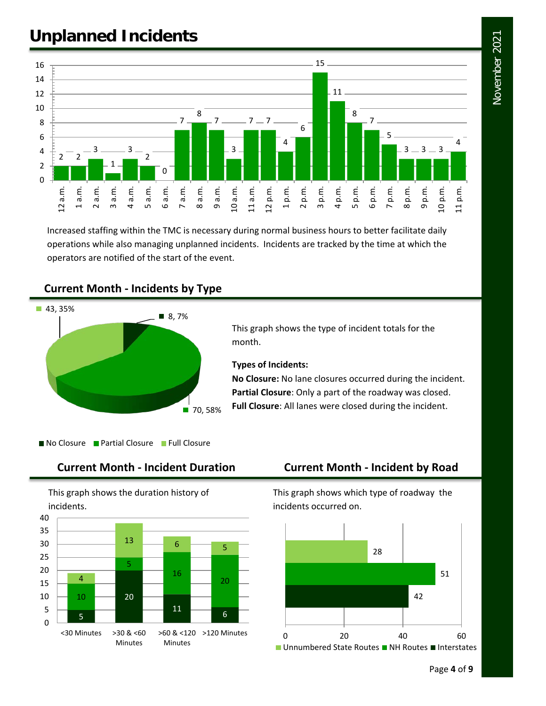November 2021 November 2021

# **Unplanned Incidents**



Increased staffing within the TMC is necessary during normal business hours to better facilitate daily operations while also managing unplanned incidents. Incidents are tracked by the time at which the operators are notified of the start of the event.

### **Current Month - Incidents by Type**



This graph shows the type of incident totals for the month.

#### **Types of Incidents:**

**No Closure:** No lane closures occurred during the incident. **Partial Closure**: Only a part of the roadway was closed. **Full Closure**: All lanes were closed during the incident.

No Closure Partial Closure Full Closure

#### **Current Month - Incident Duration Current Month - Incident by Road**

This graph shows the duration history of incidents.



This graph shows which type of roadway the incidents occurred on.

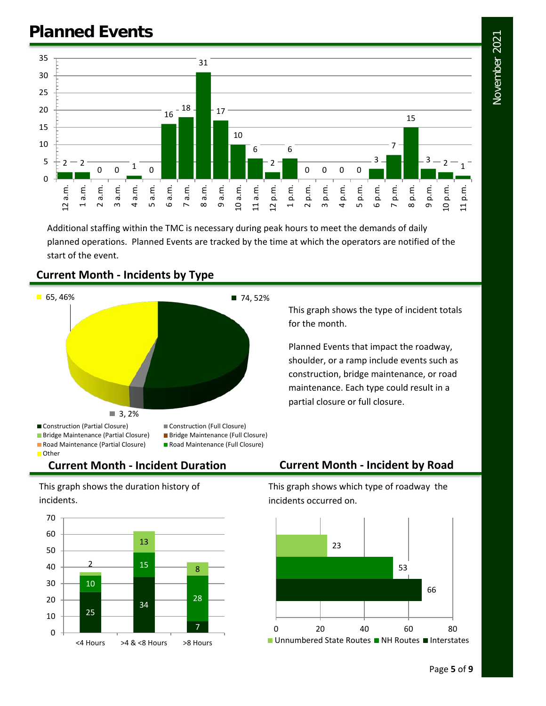

Additional staffing within the TMC is necessary during peak hours to meet the demands of daily planned operations. Planned Events are tracked by the time at which the operators are notified of the start of the event.



### **Current Month - Incidents by Type**

This graph shows the type of incident totals for the month.

Planned Events that impact the roadway, shoulder, or a ramp include events such as construction, bridge maintenance, or road maintenance. Each type could result in a partial closure or full closure.

## **Current Month - Incident Duration Current Month - Incident by Road**

This graph shows the duration history of incidents.



This graph shows which type of roadway the incidents occurred on.

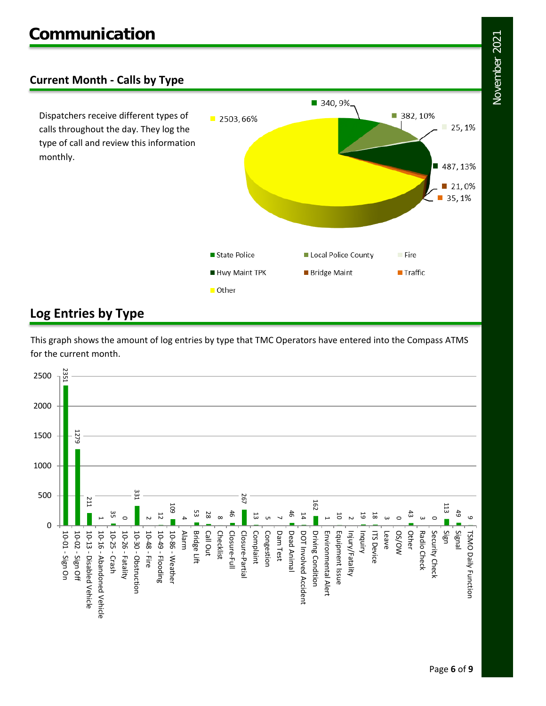## **Current Month - Calls by Type**

Dispatchers receive different types of calls throughout the day. They log the type of call and review this information monthly.



## **Log Entries by Type**

This graph shows the amount of log entries by type that TMC Operators have entered into the Compass ATMS for the current month.

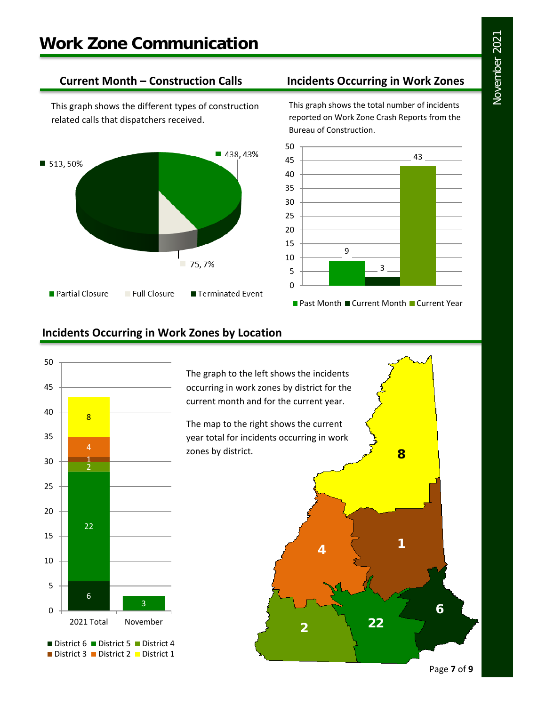This graph shows the different types of construction related calls that dispatchers received.



## **Current Month – Construction Calls Incidents Occurring in Work Zones**

This graph shows the total number of incidents reported on Work Zone Crash Reports from the Bureau of Construction.



## **Incidents Occurring in Work Zones by Location**



The graph to the left shows the incidents occurring in work zones by district for the current month and for the current year.

The map to the right shows the current year total for incidents occurring in work zones by district.

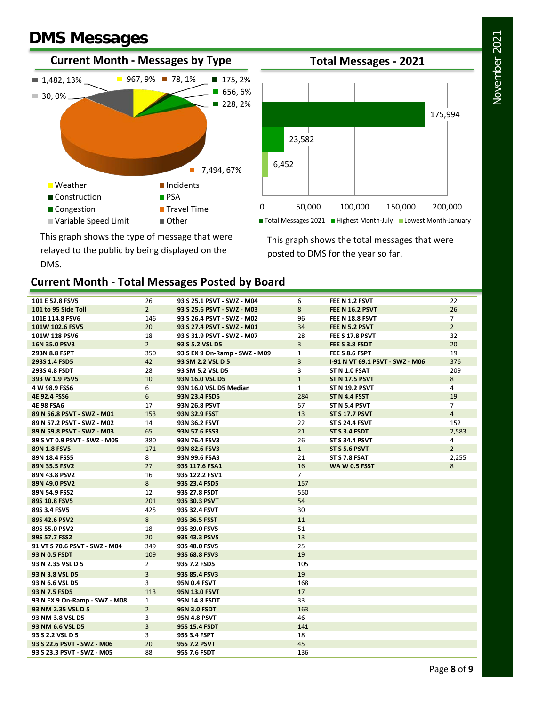# **DMS Messages**





This graph shows the type of message that were relayed to the public by being displayed on the DMS.

This graph shows the total messages that were posted to DMS for the year so far.

### **Current Month - Total Messages Posted by Board**

| 101 E 52.8 FSV5               | 26             | 93 S 25.1 PSVT - SWZ - M04    | 6              | FEE N 1.2 FSVT                  | 22             |
|-------------------------------|----------------|-------------------------------|----------------|---------------------------------|----------------|
| 101 to 95 Side Toll           | $\overline{2}$ | 93 S 25.6 PSVT - SWZ - M03    | 8              | <b>FEE N 16.2 PSVT</b>          | 26             |
| 101E 114.8 FSV6               | 146            | 93 S 26.4 PSVT - SWZ - M02    | 96             | FEE N 18.8 FSVT                 | $\overline{7}$ |
| 101W 102.6 FSV5               | 20             | 93 S 27.4 PSVT - SWZ - M01    | 34             | FEE N 5.2 PSVT                  | $\overline{2}$ |
| 101W 128 PSV6                 | 18             | 93 S 31.9 PSVT - SWZ - M07    | 28             | FEE S 17.8 PSVT                 | 32             |
| 16N 35.0 PSV3                 | $\overline{2}$ | 93 S 5.2 VSL D5               | $\overline{3}$ | FEE S 3.8 FSDT                  | 20             |
| 293N 8.8 FSPT                 | 350            | 93 S EX 9 On-Ramp - SWZ - M09 | $\mathbf{1}$   | FEE S 8.6 FSPT                  | 19             |
| 293S 1.4 FSD5                 | 42             | 93 SM 2.2 VSL D 5             | $\overline{3}$ | 1-91 N VT 69.1 PSVT - SWZ - M06 | 376            |
| 293S 4.8 FSDT                 | 28             | 93 SM 5.2 VSL D5              | 3              | ST N 1.0 FSAT                   | 209            |
| 393 W 1.9 PSV5                | 10             | 93N 16.0 VSL D5               | $\mathbf{1}$   | <b>ST N 17.5 PSVT</b>           | 8              |
| 4 W 98.9 FSS6                 | 6              | 93N 16.0 VSL D5 Median        | $\mathbf{1}$   | <b>ST N 19.2 PSVT</b>           | 4              |
| 4E 92.4 FSS6                  | 6              | 93N 23.4 FSD5                 | 284            | ST N 4.4 FSST                   | 19             |
| <b>4E 98 FSA6</b>             | 17             | 93N 26.8 PSVT                 | 57             | ST N 5.4 PSVT                   | $\overline{7}$ |
| 89 N 56.8 PSVT - SWZ - M01    | 153            | 93N 32.9 FSST                 | 13             | <b>ST S 17.7 PSVT</b>           | $\overline{4}$ |
| 89 N 57.2 PSVT - SWZ - M02    | 14             | 93N 36.2 FSVT                 | 22             | <b>ST S 24.4 FSVT</b>           | 152            |
| 89 N 59.8 PSVT - SWZ - M03    | 65             | 93N 57.6 FSS3                 | 21             | ST S 3.4 FSDT                   | 2,583          |
| 89 S VT 0.9 PSVT - SWZ - M05  | 380            | 93N 76.4 FSV3                 | 26             | <b>ST S 34.4 PSVT</b>           | 4              |
| 89N 1.8 FSV5                  | 171            | 93N 82.6 FSV3                 | $\mathbf{1}$   | <b>ST S 5.6 PSVT</b>            | $\overline{2}$ |
| 89N 18.4 FSS5                 | 8              | 93N 99.6 FSA3                 | 21             | ST S 7.8 FSAT                   | 2,255          |
| 89N 35.5 FSV2                 | 27             | 93S 117.6 FSA1                | 16             | <b>WAW0.5 FSST</b>              | 8              |
| 89N 43.8 PSV2                 | 16             | 93S 122.2 FSV1                | $\overline{7}$ |                                 |                |
| 89N 49.0 PSV2                 | 8              | 93S 23.4 FSD5                 | 157            |                                 |                |
| 89N 54.9 FSS2                 | 12             | 93S 27.8 FSDT                 | 550            |                                 |                |
| 89S 10.8 FSV5                 | 201            | 93S 30.3 PSVT                 | 54             |                                 |                |
| 89S 3.4 FSV5                  | 425            | 93S 32.4 FSVT                 | 30             |                                 |                |
| 89S 42.6 PSV2                 | 8              | 93S 36.5 FSST                 | 11             |                                 |                |
| 89S 55.0 PSV2                 | 18             | 93S 39.0 FSV5                 | 51             |                                 |                |
| 89S 57.7 FSS2                 | 20             | 93S 43.3 PSV5                 | 13             |                                 |                |
| 91 VT S 70.6 PSVT - SWZ - M04 | 349            | 93S 48.0 FSV5                 | 25             |                                 |                |
| 93 N 0.5 FSDT                 | 109            | 93S 68.8 FSV3                 | 19             |                                 |                |
| 93 N 2.35 VSL D 5             | $\overline{2}$ | 93S 7.2 FSD5                  | 105            |                                 |                |
| 93 N 3.8 VSL D5               | $\overline{3}$ | 93S 85.4 FSV3                 | 19             |                                 |                |
| 93 N 6.6 VSL D5               | 3              | 95N 0.4 FSVT                  | 168            |                                 |                |
| 93 N 7.5 FSD5                 | 113            | 95N 13.0 FSVT                 | 17             |                                 |                |
| 93 N EX 9 On-Ramp - SWZ - M08 | $\mathbf{1}$   | <b>95N 14.8 FSDT</b>          | 33             |                                 |                |
| 93 NM 2.35 VSL D 5            | $\overline{2}$ | <b>95N 3.0 FSDT</b>           | 163            |                                 |                |
| 93 NM 3.8 VSL D5              | 3              | <b>95N 4.8 PSVT</b>           | 46             |                                 |                |
| 93 NM 6.6 VSL D5              | 3              | 95S 15.4 FSDT                 | 141            |                                 |                |
| 93 S 2.2 VSL D 5              | 3              | 95S 3.4 FSPT                  | 18             |                                 |                |
| 93 S 22.6 PSVT - SWZ - M06    | 20             | 95S 7.2 PSVT                  | 45             |                                 |                |
| 93 S 23.3 PSVT - SWZ - M05    | 88             | 95S 7.6 FSDT                  | 136            |                                 |                |
|                               |                |                               |                |                                 |                |

November 2021 November 2021